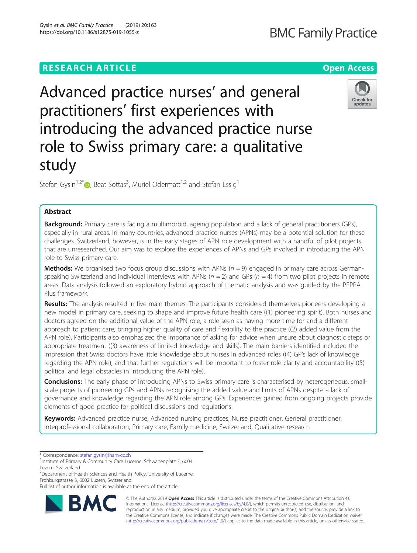# **RESEARCH ARTICLE Example 2014 12:30 The Contract of Contract ACCESS**

Advanced practice nurses' and general practitioners' first experiences with introducing the advanced practice nurse role to Swiss primary care: a qualitative study

Stefan Gysin<sup>1[,](http://orcid.org/0000-0002-6344-6873)2\*</sup> $\textcolor{blue}{\bullet}$ , Beat Sottas<sup>3</sup>, Muriel Odermatt<sup>1,2</sup> and Stefan Essig<sup>1</sup>

## Abstract

**Background:** Primary care is facing a multimorbid, ageing population and a lack of general practitioners (GPs), especially in rural areas. In many countries, advanced practice nurses (APNs) may be a potential solution for these challenges. Switzerland, however, is in the early stages of APN role development with a handful of pilot projects that are unresearched. Our aim was to explore the experiences of APNs and GPs involved in introducing the APN role to Swiss primary care.

**Methods:** We organised two focus group discussions with APNs  $(n = 9)$  engaged in primary care across Germanspeaking Switzerland and individual interviews with APNs ( $n = 2$ ) and GPs ( $n = 4$ ) from two pilot projects in remote areas. Data analysis followed an exploratory hybrid approach of thematic analysis and was guided by the PEPPA Plus framework.

Results: The analysis resulted in five main themes: The participants considered themselves pioneers developing a new model in primary care, seeking to shape and improve future health care ((1) pioneering spirit). Both nurses and doctors agreed on the additional value of the APN role, a role seen as having more time for and a different approach to patient care, bringing higher quality of care and flexibility to the practice ((2) added value from the APN role). Participants also emphasized the importance of asking for advice when unsure about diagnostic steps or appropriate treatment ((3) awareness of limited knowledge and skills). The main barriers identified included the impression that Swiss doctors have little knowledge about nurses in advanced roles ((4) GP's lack of knowledge regarding the APN role), and that further regulations will be important to foster role clarity and accountability ((5) political and legal obstacles in introducing the APN role).

**Conclusions:** The early phase of introducing APNs to Swiss primary care is characterised by heterogeneous, smallscale projects of pioneering GPs and APNs recognising the added value and limits of APNs despite a lack of governance and knowledge regarding the APN role among GPs. Experiences gained from ongoing projects provide elements of good practice for political discussions and regulations.

Keywords: Advanced practice nurse, Advanced nursing practices, Nurse practitioner, General practitioner, Interprofessional collaboration, Primary care, Family medicine, Switzerland, Qualitative research

\* Correspondence: [stefan.gysin@iham-cc.ch](mailto:stefan.gysin@iham-cc.ch) <sup>1</sup>

<sup>2</sup>Department of Health Sciences and Health Policy, University of Lucerne, Frohburgstrasse 3, 6002 Luzern, Switzerland



© The Author(s). 2019 Open Access This article is distributed under the terms of the Creative Commons Attribution 4.0 International License [\(http://creativecommons.org/licenses/by/4.0/](http://creativecommons.org/licenses/by/4.0/)), which permits unrestricted use, distribution, and reproduction in any medium, provided you give appropriate credit to the original author(s) and the source, provide a link to the Creative Commons license, and indicate if changes were made. The Creative Commons Public Domain Dedication waiver [\(http://creativecommons.org/publicdomain/zero/1.0/](http://creativecommons.org/publicdomain/zero/1.0/)) applies to the data made available in this article, unless otherwise stated.





<sup>&</sup>lt;sup>1</sup> Institute of Primary & Community Care Lucerne, Schwanenplatz 7, 6004 Luzern, Switzerland

Full list of author information is available at the end of the article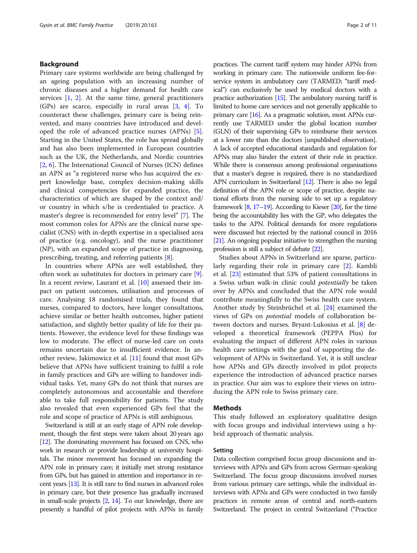## Background

Primary care systems worldwide are being challenged by an ageing population with an increasing number of chronic diseases and a higher demand for health care services [[1,](#page-9-0) [2](#page-9-0)]. At the same time, general practitioners (GPs) are scarce, especially in rural areas [[3,](#page-9-0) [4\]](#page-9-0). To counteract these challenges, primary care is being reinvented, and many countries have introduced and developed the role of advanced practice nurses (APNs) [\[5](#page-9-0)]. Starting in the United States, the role has spread globally and has also been implemented in European countries such as the UK, the Netherlands, and Nordic countries [[2,](#page-9-0) [6\]](#page-9-0). The International Council of Nurses (ICN) defines an APN as "a registered nurse who has acquired the expert knowledge base, complex decision-making skills and clinical competencies for expanded practice, the characteristics of which are shaped by the context and/ or country in which s/he is credentialed to practice. A master's degree is recommended for entry level" [[7\]](#page-9-0). The most common roles for APNs are the clinical nurse specialist (CNS) with in-depth expertise in a specialised area of practice (e.g. oncology), and the nurse practitioner (NP), with an expanded scope of practice in diagnosing, prescribing, treating, and referring patients [\[8](#page-9-0)].

In countries where APNs are well established, they often work as substitutes for doctors in primary care [\[9](#page-9-0)]. In a recent review, Laurant et al. [\[10\]](#page-9-0) assessed their impact on patient outcomes, utilisation and processes of care. Analysing 18 randomised trials, they found that nurses, compared to doctors, have longer consultations, achieve similar or better health outcomes, higher patient satisfaction, and slightly better quality of life for their patients. However, the evidence level for these findings was low to moderate. The effect of nurse-led care on costs remains uncertain due to insufficient evidence. In another review, Jakimowicz et al. [\[11](#page-9-0)] found that most GPs believe that APNs have sufficient training to fulfil a role in family practices and GPs are willing to handover individual tasks. Yet, many GPs do not think that nurses are completely autonomous and accountable and therefore able to take full responsibility for patients. The study also revealed that even experienced GPs feel that the role and scope of practice of APNs is still ambiguous.

Switzerland is still at an early stage of APN role development, though the first steps were taken about 20 years ago [[12\]](#page-9-0). The dominating movement has focused on CNS, who work in research or provide leadership at university hospitals. The minor movement has focused on expanding the APN role in primary care; it initially met strong resistance from GPs, but has gained in attention and importance in recent years [[13\]](#page-9-0). It is still rare to find nurses in advanced roles in primary care, but their presence has gradually increased in small-scale projects [[2](#page-9-0), [14\]](#page-9-0). To our knowledge, there are presently a handful of pilot projects with APNs in family practices. The current tariff system may hinder APNs from working in primary care. The nationwide uniform fee-forservice system in ambulatory care (TARMED; "tariff medical") can exclusively be used by medical doctors with a practice authorization [[15\]](#page-9-0). The ambulatory nursing tariff is limited to home care services and not generally applicable to primary care  $[16]$  $[16]$ . As a pragmatic solution, most APNs currently use TARMED under the global location number (GLN) of their supervising GPs to reimburse their services at a lower rate than the doctors [unpublished observation]. A lack of accepted educational standards and regulation for APNs may also hinder the extent of their role in practice. While there is consensus among professional organisations that a master's degree is required, there is no standardized APN curriculum in Switzerland [\[12](#page-9-0)]. There is also no legal definition of the APN role or scope of practice, despite national efforts from the nursing side to set up a regulatory framework  $[8, 17-19]$  $[8, 17-19]$  $[8, 17-19]$  $[8, 17-19]$  $[8, 17-19]$ . According to Kieser  $[20]$  $[20]$ , for the time being the accountability lies with the GP, who delegates the tasks to the APN. Political demands for more regulations were discussed but rejected by the national council in 2016 [[21\]](#page-9-0). An ongoing popular initiative to strengthen the nursing profession is still a subject of debate [\[22\]](#page-9-0).

Studies about APNs in Switzerland are sparse, particularly regarding their role in primary care [[2\]](#page-9-0). Kambli et al. [\[23](#page-9-0)] estimated that 53% of patient consultations in a Swiss urban walk-in clinic could potentially be taken over by APNs and concluded that the APN role would contribute meaningfully to the Swiss health care system. Another study by Steinbrüchel et al. [\[24](#page-9-0)] examined the views of GPs on potential models of collaboration between doctors and nurses. Bryant-Lukosius et al. [[8\]](#page-9-0) developed a theoretical framework (PEPPA Plus) for evaluating the impact of different APN roles in various health care settings with the goal of supporting the development of APNs in Switzerland. Yet, it is still unclear how APNs and GPs directly involved in pilot projects experience the introduction of advanced practice nurses in practice. Our aim was to explore their views on introducing the APN role to Swiss primary care.

### Methods

This study followed an exploratory qualitative design with focus groups and individual interviews using a hybrid approach of thematic analysis.

### Setting

Data collection comprised focus group discussions and interviews with APNs and GPs from across German-speaking Switzerland. The focus group discussions involved nurses from various primary care settings, while the individual interviews with APNs and GPs were conducted in two family practices in remote areas of central and north-eastern Switzerland. The project in central Switzerland ("Practice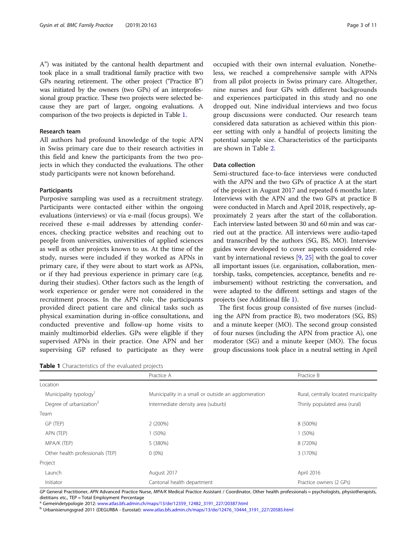A") was initiated by the cantonal health department and took place in a small traditional family practice with two GPs nearing retirement. The other project ("Practice B") was initiated by the owners (two GPs) of an interprofessional group practice. These two projects were selected because they are part of larger, ongoing evaluations. A comparison of the two projects is depicted in Table 1.

### Research team

All authors had profound knowledge of the topic APN in Swiss primary care due to their research activities in this field and knew the participants from the two projects in which they conducted the evaluations. The other study participants were not known beforehand.

## **Participants**

Purposive sampling was used as a recruitment strategy. Participants were contacted either within the ongoing evaluations (interviews) or via e-mail (focus groups). We received these e-mail addresses by attending conferences, checking practice websites and reaching out to people from universities, universities of applied sciences as well as other projects known to us. At the time of the study, nurses were included if they worked as APNs in primary care, if they were about to start work as APNs, or if they had previous experience in primary care (e.g. during their studies). Other factors such as the length of work experience or gender were not considered in the recruitment process. In the APN role, the participants provided direct patient care and clinical tasks such as physical examination during in-office consultations, and conducted preventive and follow-up home visits to mainly multimorbid elderlies. GPs were eligible if they supervised APNs in their practice. One APN and her supervising GP refused to participate as they were

Table 1 Characteristics of the evaluated projects

occupied with their own internal evaluation. Nonetheless, we reached a comprehensive sample with APNs from all pilot projects in Swiss primary care. Altogether, nine nurses and four GPs with different backgrounds and experiences participated in this study and no one dropped out. Nine individual interviews and two focus group discussions were conducted. Our research team considered data saturation as achieved within this pioneer setting with only a handful of projects limiting the potential sample size. Characteristics of the participants are shown in Table [2](#page-3-0).

## Data collection

Semi-structured face-to-face interviews were conducted with the APN and the two GPs of practice A at the start of the project in August 2017 and repeated 6 months later. Interviews with the APN and the two GPs at practice B were conducted in March and April 2018, respectively, approximately 2 years after the start of the collaboration. Each interview lasted between 30 and 60 min and was carried out at the practice. All interviews were audio-taped and transcribed by the authors (SG, BS, MO). Interview guides were developed to cover aspects considered relevant by international reviews [\[9,](#page-9-0) [25](#page-9-0)] with the goal to cover all important issues (i.e. organisation, collaboration, mentorship, tasks, competencies, acceptance, benefits and reimbursement) without restricting the conversation, and were adapted to the different settings and stages of the projects (see Additional file [1](#page-8-0)).

The first focus group consisted of five nurses (including the APN from practice B), two moderators (SG, BS) and a minute keeper (MO). The second group consisted of four nurses (including the APN from practice A), one moderator (SG) and a minute keeper (MO). The focus group discussions took place in a neutral setting in April

|                                     | Practice A                                                                                   | Practice B              |
|-------------------------------------|----------------------------------------------------------------------------------------------|-------------------------|
| Location                            |                                                                                              |                         |
| Municipality typology <sup>1</sup>  | Rural, centrally located municipality<br>Municipality in a small or outside an agglomeration |                         |
| Degree of urbanization <sup>2</sup> | Intermediate density area (suburb)<br>Thinly populated area (rural)                          |                         |
| Team                                |                                                                                              |                         |
| GP (TEP)                            | 2 (200%)                                                                                     | 8 (500%)                |
| APN (TEP)                           | 1 (50%)                                                                                      | 1 (50%)                 |
| MPA/K (TEP)                         | 5 (380%)                                                                                     | 8 (720%)                |
| Other health professionals (TEP)    | $0(0\%)$                                                                                     | 3 (170%)                |
| Project                             |                                                                                              |                         |
| Launch                              | August 2017                                                                                  | April 2016              |
| Initiator                           | Cantonal health department                                                                   | Practice owners (2 GPs) |

GP General Practitioner, APN Advanced Practice Nurse, MPA/K Medical Practice Assistant / Coordinator, Other health professionals = psychologists, physiotherapists, dietitians etc., TEP = Total Employment Percentage<br><sup>a</sup> Gemeindetypologie 2012: www.atlas.bfs.admin.ch/maps/13/de/12359 12482 3191 227/20387.html

b Urbanisierungsgrad 2011 (DEGURBA - Eurostat): [www.atlas.bfs.admin.ch/maps/13/de/12476\\_10444\\_3191\\_227/20585.html](http://www.atlas.bfs.admin.ch/maps/13/de/12476_10444_3191_227/20585.html)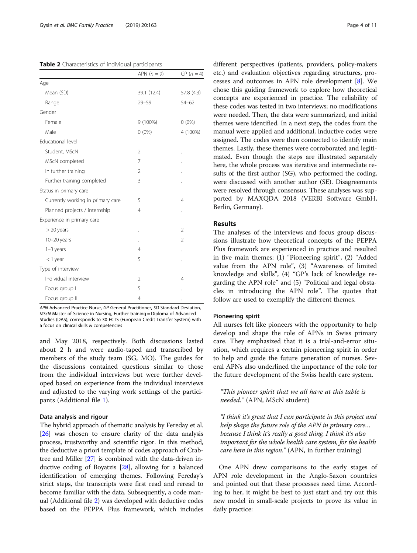<span id="page-3-0"></span>Table 2 Characteristics of individual participants

|                                   | APN $(n = 9)$            | $GP (n = 4)$   |
|-----------------------------------|--------------------------|----------------|
| Age                               |                          |                |
| Mean (SD)                         | 39.1 (12.4)              | 57.8 (4.3)     |
| Range                             | $29 - 59$                | $54 - 62$      |
| Gender                            |                          |                |
| Female                            | 9 (100%)                 | $0(0\%)$       |
| Male                              | $0(0\%)$                 | 4 (100%)       |
| Educational level                 |                          |                |
| Student, MScN                     | $\overline{\phantom{a}}$ |                |
| MScN completed                    | 7                        |                |
| In further training               | $\mathfrak{D}$           |                |
| Further training completed        | 3                        |                |
| Status in primary care            |                          |                |
| Currently working in primary care | 5                        | 4              |
| Planned projects / internship     | 4                        |                |
| Experience in primary care        |                          |                |
| $>$ 20 years                      |                          | $\overline{2}$ |
| $10 - 20$ years                   |                          | $\mathfrak{D}$ |
| $1-3$ years                       | 4                        |                |
| $<$ 1 year                        | 5                        |                |
| Type of interview                 |                          |                |
| Individual interview              | $\overline{2}$           | 4              |
| Focus group I                     | 5                        |                |
| Focus group II                    | 4                        |                |

APN Advanced Practice Nurse, GP General Practitioner, SD Standard Deviation, MScN Master of Science in Nursing, Further training = Diploma of Advanced Studies (DAS); corresponds to 30 ECTS (European Credit Transfer System) with a focus on clinical skills & competencies

and May 2018, respectively. Both discussions lasted about 2 h and were audio-taped and transcribed by members of the study team (SG, MO). The guides for the discussions contained questions similar to those from the individual interviews but were further developed based on experience from the individual interviews and adjusted to the varying work settings of the participants (Additional file [1](#page-8-0)).

#### Data analysis and rigour

The hybrid approach of thematic analysis by Fereday et al. [[26](#page-9-0)] was chosen to ensure clarity of the data analysis process, trustworthy and scientific rigor. In this method, the deductive a priori template of codes approach of Crabtree and Miller [\[27](#page-9-0)] is combined with the data-driven inductive coding of Boyatzis [[28](#page-9-0)], allowing for a balanced identification of emerging themes. Following Fereday's strict steps, the transcripts were first read and reread to become familiar with the data. Subsequently, a code manual (Additional file [2\)](#page-8-0) was developed with deductive codes based on the PEPPA Plus framework, which includes different perspectives (patients, providers, policy-makers etc.) and evaluation objectives regarding structures, processes and outcomes in APN role development [\[8\]](#page-9-0). We chose this guiding framework to explore how theoretical concepts are experienced in practice. The reliability of these codes was tested in two interviews; no modifications were needed. Then, the data were summarized, and initial themes were identified. In a next step, the codes from the manual were applied and additional, inductive codes were assigned. The codes were then connected to identify main themes. Lastly, these themes were corroborated and legitimated. Even though the steps are illustrated separately here, the whole process was iterative and intermediate results of the first author (SG), who performed the coding, were discussed with another author (SE). Disagreements were resolved through consensus. These analyses was supported by MAXQDA 2018 (VERBI Software GmbH, Berlin, Germany).

## Results

The analyses of the interviews and focus group discussions illustrate how theoretical concepts of the PEPPA Plus framework are experienced in practice and resulted in five main themes: (1) "Pioneering spirit", (2) "Added value from the APN role", (3) "Awareness of limited knowledge and skills", (4) "GP's lack of knowledge regarding the APN role" and (5) "Political and legal obstacles in introducing the APN role". The quotes that follow are used to exemplify the different themes.

## Pioneering spirit

All nurses felt like pioneers with the opportunity to help develop and shape the role of APNs in Swiss primary care. They emphasized that it is a trial-and-error situation, which requires a certain pioneering spirit in order to help and guide the future generation of nurses. Several APNs also underlined the importance of the role for the future development of the Swiss health care system.

"This pioneer spirit that we all have at this table is needed." (APN, MScN student)

"I think it's great that I can participate in this project and help shape the future role of the APN in primary care… because I think it's really a good thing. I think it's also important for the whole health care system, for the health care here in this region." (APN, in further training)

One APN drew comparisons to the early stages of APN role development in the Anglo-Saxon countries and pointed out that these processes need time. According to her, it might be best to just start and try out this new model in small-scale projects to prove its value in daily practice: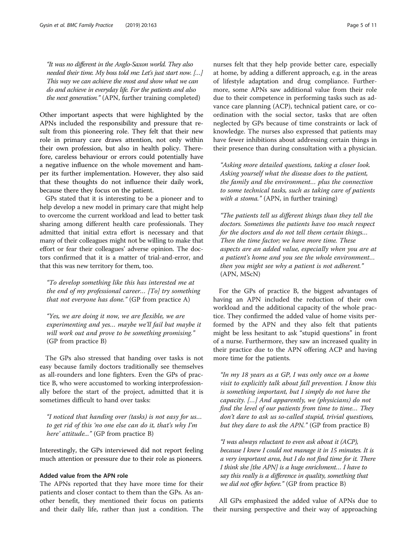"It was no different in the Anglo-Saxon world. They also needed their time. My boss told me: Let's just start now. […] This way we can achieve the most and show what we can do and achieve in everyday life. For the patients and also the next generation." (APN, further training completed)

Other important aspects that were highlighted by the APNs included the responsibility and pressure that result from this pioneering role. They felt that their new role in primary care draws attention, not only within their own profession, but also in health policy. Therefore, careless behaviour or errors could potentially have a negative influence on the whole movement and hamper its further implementation. However, they also said that these thoughts do not influence their daily work, because there they focus on the patient.

GPs stated that it is interesting to be a pioneer and to help develop a new model in primary care that might help to overcome the current workload and lead to better task sharing among different health care professionals. They admitted that initial extra effort is necessary and that many of their colleagues might not be willing to make that effort or fear their colleagues' adverse opinion. The doctors confirmed that it is a matter of trial-and-error, and that this was new territory for them, too.

"To develop something like this has interested me at the end of my professional career… [To] try something that not everyone has done." (GP from practice  $A$ )

"Yes, we are doing it now, we are flexible, we are experimenting and yes… maybe we'll fail but maybe it will work out and prove to be something promising." (GP from practice B)

The GPs also stressed that handing over tasks is not easy because family doctors traditionally see themselves as all-rounders and lone fighters. Even the GPs of practice B, who were accustomed to working interprofessionally before the start of the project, admitted that it is sometimes difficult to hand over tasks:

"I noticed that handing over (tasks) is not easy for us… to get rid of this 'no one else can do it, that's why I'm here' attitude..." (GP from practice B)

Interestingly, the GPs interviewed did not report feeling much attention or pressure due to their role as pioneers.

## Added value from the APN role

The APNs reported that they have more time for their patients and closer contact to them than the GPs. As another benefit, they mentioned their focus on patients and their daily life, rather than just a condition. The nurses felt that they help provide better care, especially at home, by adding a different approach, e.g. in the areas of lifestyle adaptation and drug compliance. Furthermore, some APNs saw additional value from their role due to their competence in performing tasks such as advance care planning (ACP), technical patient care, or coordination with the social sector, tasks that are often neglected by GPs because of time constraints or lack of knowledge. The nurses also expressed that patients may have fewer inhibitions about addressing certain things in their presence than during consultation with a physician.

"Asking more detailed questions, taking a closer look. Asking yourself what the disease does to the patient, the family and the environment… plus the connection to some technical tasks, such as taking care of patients with a stoma." (APN, in further training)

"The patients tell us different things than they tell the doctors. Sometimes the patients have too much respect for the doctors and do not tell them certain things… Then the time factor; we have more time. These aspects are an added value, especially when you are at a patient's home and you see the whole environment… then you might see why a patient is not adherent." (APN, MScN)

For the GPs of practice B, the biggest advantages of having an APN included the reduction of their own workload and the additional capacity of the whole practice. They confirmed the added value of home visits performed by the APN and they also felt that patients might be less hesitant to ask "stupid questions" in front of a nurse. Furthermore, they saw an increased quality in their practice due to the APN offering ACP and having more time for the patients.

"In my 18 years as a GP, I was only once on a home visit to explicitly talk about fall prevention. I know this is something important, but I simply do not have the capacity. […] And apparently, we (physicians) do not find the level of our patients from time to time… They don't dare to ask us so-called stupid, trivial questions, but they dare to ask the APN." (GP from practice B)

"I was always reluctant to even ask about it (ACP), because I knew I could not manage it in 15 minutes. It is a very important area, but I do not find time for it. There I think she [the APN] is a huge enrichment… I have to say this really is a difference in quality, something that we did not offer before." (GP from practice B)

All GPs emphasized the added value of APNs due to their nursing perspective and their way of approaching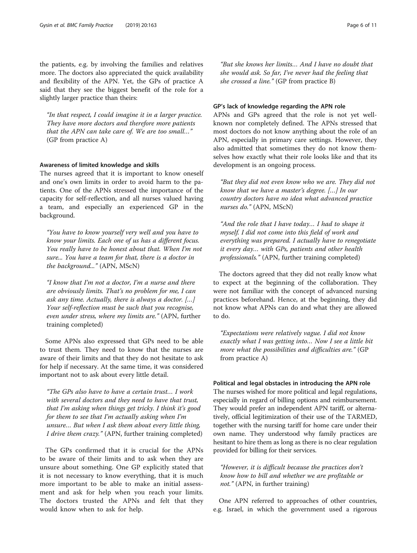the patients, e.g. by involving the families and relatives more. The doctors also appreciated the quick availability and flexibility of the APN. Yet, the GPs of practice A said that they see the biggest benefit of the role for a slightly larger practice than theirs:

"In that respect, I could imagine it in a larger practice. They have more doctors and therefore more patients that the APN can take care of. We are too small…" (GP from practice A)

### Awareness of limited knowledge and skills

The nurses agreed that it is important to know oneself and one's own limits in order to avoid harm to the patients. One of the APNs stressed the importance of the capacity for self-reflection, and all nurses valued having a team, and especially an experienced GP in the background.

"You have to know yourself very well and you have to know your limits. Each one of us has a different focus. You really have to be honest about that. When I'm not sure... You have a team for that, there is a doctor in the background..." (APN, MScN)

"I know that I'm not a doctor, I'm a nurse and there are obviously limits. That's no problem for me, I can ask any time. Actually, there is always a doctor.  $[...]$ Your self-reflection must be such that you recognise, even under stress, where my limits are." (APN, further training completed)

Some APNs also expressed that GPs need to be able to trust them. They need to know that the nurses are aware of their limits and that they do not hesitate to ask for help if necessary. At the same time, it was considered important not to ask about every little detail.

"The GPs also have to have a certain trust… I work with several doctors and they need to have that trust, that I'm asking when things get tricky. I think it's good for them to see that I'm actually asking when I'm unsure… But when I ask them about every little thing, I drive them crazy." (APN, further training completed)

The GPs confirmed that it is crucial for the APNs to be aware of their limits and to ask when they are unsure about something. One GP explicitly stated that it is not necessary to know everything, that it is much more important to be able to make an initial assessment and ask for help when you reach your limits. The doctors trusted the APNs and felt that they would know when to ask for help.

"But she knows her limits… And I have no doubt that she would ask. So far, I've never had the feeling that she crossed a line." (GP from practice B)

### GP's lack of knowledge regarding the APN role

APNs and GPs agreed that the role is not yet wellknown nor completely defined. The APNs stressed that most doctors do not know anything about the role of an APN, especially in primary care settings. However, they also admitted that sometimes they do not know themselves how exactly what their role looks like and that its development is an ongoing process.

"But they did not even know who we are. They did not know that we have a master's degree. […] In our country doctors have no idea what advanced practice nurses do." (APN, MScN)

"And the role that I have today… I had to shape it myself. I did not come into this field of work and everything was prepared. I actually have to renegotiate it every day… with GPs, patients and other health professionals." (APN, further training completed)

The doctors agreed that they did not really know what to expect at the beginning of the collaboration. They were not familiar with the concept of advanced nursing practices beforehand. Hence, at the beginning, they did not know what APNs can do and what they are allowed to do.

"Expectations were relatively vague. I did not know exactly what I was getting into… Now I see a little bit more what the possibilities and difficulties are." (GP from practice A)

## Political and legal obstacles in introducing the APN role

The nurses wished for more political and legal regulations, especially in regard of billing options and reimbursement. They would prefer an independent APN tariff, or alternatively, official legitimization of their use of the TARMED, together with the nursing tariff for home care under their own name. They understood why family practices are hesitant to hire them as long as there is no clear regulation provided for billing for their services.

"However, it is difficult because the practices don't know how to bill and whether we are profitable or not." (APN, in further training)

One APN referred to approaches of other countries, e.g. Israel, in which the government used a rigorous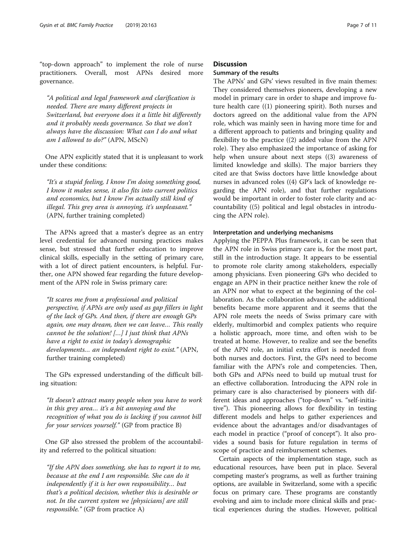"top-down approach" to implement the role of nurse practitioners. Overall, most APNs desired more governance.

"A political and legal framework and clarification is needed. There are many different projects in Switzerland, but everyone does it a little bit differently and it probably needs governance. So that we don't always have the discussion: What can I do and what am I allowed to do?" (APN, MScN)

One APN explicitly stated that it is unpleasant to work under these conditions:

"It's a stupid feeling, I know I'm doing something good, I know it makes sense, it also fits into current politics and economics, but I know I'm actually still kind of illegal. This grey area is annoying, it's unpleasant." (APN, further training completed)

The APNs agreed that a master's degree as an entry level credential for advanced nursing practices makes sense, but stressed that further education to improve clinical skills, especially in the setting of primary care, with a lot of direct patient encounters, is helpful. Further, one APN showed fear regarding the future development of the APN role in Swiss primary care:

"It scares me from a professional and political perspective, if APNs are only used as gap fillers in light of the lack of GPs. And then, if there are enough GPs again, one may dream, then we can leave… This really cannot be the solution!  $[...]$  I just think that APNs have a right to exist in today's demographic developments… an independent right to exist." (APN, further training completed)

The GPs expressed understanding of the difficult billing situation:

"It doesn't attract many people when you have to work in this grey area… it's a bit annoying and the recognition of what you do is lacking if you cannot bill for your services yourself." (GP from practice B)

One GP also stressed the problem of the accountability and referred to the political situation:

"If the APN does something, she has to report it to me, because at the end I am responsible. She can do it independently if it is her own responsibility… but that's a political decision, whether this is desirable or not. In the current system we [physicians] are still responsible." (GP from practice A)

## **Discussion**

## Summary of the results

The APNs' and GPs' views resulted in five main themes: They considered themselves pioneers, developing a new model in primary care in order to shape and improve future health care ((1) pioneering spirit). Both nurses and doctors agreed on the additional value from the APN role, which was mainly seen in having more time for and a different approach to patients and bringing quality and flexibility to the practice ((2) added value from the APN role). They also emphasized the importance of asking for help when unsure about next steps ((3) awareness of limited knowledge and skills). The major barriers they cited are that Swiss doctors have little knowledge about nurses in advanced roles ((4) GP's lack of knowledge regarding the APN role), and that further regulations would be important in order to foster role clarity and accountability ((5) political and legal obstacles in introducing the APN role).

## Interpretation and underlying mechanisms

Applying the PEPPA Plus framework, it can be seen that the APN role in Swiss primary care is, for the most part, still in the introduction stage. It appears to be essential to promote role clarity among stakeholders, especially among physicians. Even pioneering GPs who decided to engage an APN in their practice neither knew the role of an APN nor what to expect at the beginning of the collaboration. As the collaboration advanced, the additional benefits became more apparent and it seems that the APN role meets the needs of Swiss primary care with elderly, multimorbid and complex patients who require a holistic approach, more time, and often wish to be treated at home. However, to realize and see the benefits of the APN role, an initial extra effort is needed from both nurses and doctors. First, the GPs need to become familiar with the APN's role and competencies. Then, both GPs and APNs need to build up mutual trust for an effective collaboration. Introducing the APN role in primary care is also characterised by pioneers with different ideas and approaches ("top-down" vs. "self-initiative"). This pioneering allows for flexibility in testing different models and helps to gather experiences and evidence about the advantages and/or disadvantages of each model in practice ("proof of concept"). It also provides a sound basis for future regulation in terms of scope of practice and reimbursement schemes.

Certain aspects of the implementation stage, such as educational resources, have been put in place. Several competing master's programs, as well as further training options, are available in Switzerland, some with a specific focus on primary care. These programs are constantly evolving and aim to include more clinical skills and practical experiences during the studies. However, political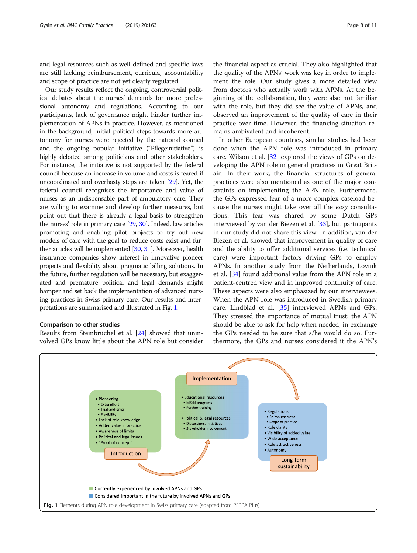and legal resources such as well-defined and specific laws are still lacking; reimbursement, curricula, accountability and scope of practice are not yet clearly regulated.

Our study results reflect the ongoing, controversial political debates about the nurses' demands for more professional autonomy and regulations. According to our participants, lack of governance might hinder further implementation of APNs in practice. However, as mentioned in the background, initial political steps towards more autonomy for nurses were rejected by the national council and the ongoing popular initiative ("Pflegeinitiative") is highly debated among politicians and other stakeholders. For instance, the initiative is not supported by the federal council because an increase in volume and costs is feared if uncoordinated and overhasty steps are taken [[29](#page-9-0)]. Yet, the federal council recognises the importance and value of nurses as an indispensable part of ambulatory care. They are willing to examine and develop further measures, but point out that there is already a legal basis to strengthen the nurses' role in primary care [\[29,](#page-9-0) [30](#page-9-0)]. Indeed, law articles promoting and enabling pilot projects to try out new models of care with the goal to reduce costs exist and further articles will be implemented [[30](#page-9-0), [31](#page-10-0)]. Moreover, health insurance companies show interest in innovative pioneer projects and flexibility about pragmatic billing solutions. In the future, further regulation will be necessary, but exaggerated and premature political and legal demands might hamper and set back the implementation of advanced nursing practices in Swiss primary care. Our results and interpretations are summarised and illustrated in Fig. 1.

#### Comparison to other studies

Results from Steinbrüchel et al. [[24](#page-9-0)] showed that uninvolved GPs know little about the APN role but consider

the financial aspect as crucial. They also highlighted that the quality of the APNs' work was key in order to implement the role. Our study gives a more detailed view from doctors who actually work with APNs. At the beginning of the collaboration, they were also not familiar with the role, but they did see the value of APNs, and observed an improvement of the quality of care in their practice over time. However, the financing situation remains ambivalent and incoherent.

In other European countries, similar studies had been done when the APN role was introduced in primary care. Wilson et al. [\[32](#page-10-0)] explored the views of GPs on developing the APN role in general practices in Great Britain. In their work, the financial structures of general practices were also mentioned as one of the major constraints on implementing the APN role. Furthermore, the GPs expressed fear of a more complex caseload because the nurses might take over all the easy consultations. This fear was shared by some Dutch GPs interviewed by van der Biezen et al. [\[33\]](#page-10-0), but participants in our study did not share this view. In addition, van der Biezen et al. showed that improvement in quality of care and the ability to offer additional services (i.e. technical care) were important factors driving GPs to employ APNs. In another study from the Netherlands, Lovink et al. [[34\]](#page-10-0) found additional value from the APN role in a patient-centred view and in improved continuity of care. These aspects were also emphasized by our interviewees. When the APN role was introduced in Swedish primary care, Lindblad et al. [\[35](#page-10-0)] interviewed APNs and GPs. They stressed the importance of mutual trust: the APN should be able to ask for help when needed, in exchange the GPs needed to be sure that s/he would do so. Furthermore, the GPs and nurses considered it the APN's

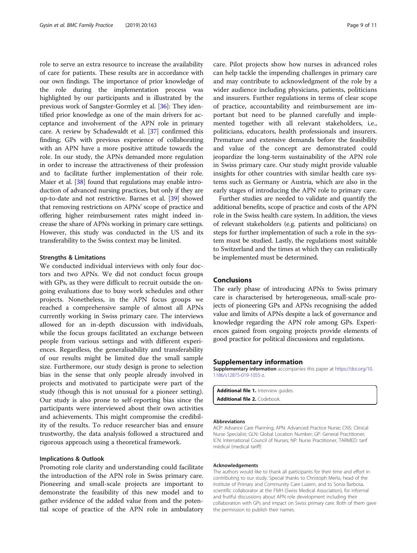<span id="page-8-0"></span>role to serve an extra resource to increase the availability of care for patients. These results are in accordance with our own findings. The importance of prior knowledge of the role during the implementation process was highlighted by our participants and is illustrated by the previous work of Sangster-Gormley et al. [[36](#page-10-0)]: They identified prior knowledge as one of the main drivers for acceptance and involvement of the APN role in primary care. A review by Schadewaldt et al. [\[37\]](#page-10-0) confirmed this finding; GPs with previous experience of collaborating with an APN have a more positive attitude towards the role. In our study, the APNs demanded more regulation in order to increase the attractiveness of their profession and to facilitate further implementation of their role. Maier et al. [\[38](#page-10-0)] found that regulations may enable introduction of advanced nursing practices, but only if they are up-to-date and not restrictive. Barnes et al. [\[39](#page-10-0)] showed that removing restrictions on APNs' scope of practice and offering higher reimbursement rates might indeed increase the share of APNs working in primary care settings. However, this study was conducted in the US and its transferability to the Swiss context may be limited.

#### Strengths & Limitations

We conducted individual interviews with only four doctors and two APNs. We did not conduct focus groups with GPs, as they were difficult to recruit outside the ongoing evaluations due to busy work schedules and other projects. Nonetheless, in the APN focus groups we reached a comprehensive sample of almost all APNs currently working in Swiss primary care. The interviews allowed for an in-depth discussion with individuals, while the focus groups facilitated an exchange between people from various settings and with different experiences. Regardless, the generalisability and transferability of our results might be limited due the small sample size. Furthermore, our study design is prone to selection bias in the sense that only people already involved in projects and motivated to participate were part of the study (though this is not unusual for a pioneer setting). Our study is also prone to self-reporting bias since the participants were interviewed about their own activities and achievements. This might compromise the credibility of the results. To reduce researcher bias and ensure trustworthy, the data analysis followed a structured and rigorous approach using a theoretical framework.

### Implications & Outlook

Promoting role clarity and understanding could facilitate the introduction of the APN role in Swiss primary care. Pioneering and small-scale projects are important to demonstrate the feasibility of this new model and to gather evidence of the added value from and the potential scope of practice of the APN role in ambulatory care. Pilot projects show how nurses in advanced roles can help tackle the impending challenges in primary care and may contribute to acknowledgment of the role by a wider audience including physicians, patients, politicians and insurers. Further regulations in terms of clear scope of practice, accountability and reimbursement are important but need to be planned carefully and implemented together with all relevant stakeholders, i.e., politicians, educators, health professionals and insurers. Premature and extensive demands before the feasibility and value of the concept are demonstrated could jeopardize the long-term sustainability of the APN role in Swiss primary care. Our study might provide valuable insights for other countries with similar health care systems such as Germany or Austria, which are also in the early stages of introducing the APN role to primary care.

Further studies are needed to validate and quantify the additional benefits, scope of practice and costs of the APN role in the Swiss health care system. In addition, the views of relevant stakeholders (e.g. patients and politicians) on steps for further implementation of such a role in the system must be studied. Lastly, the regulations most suitable to Switzerland and the times at which they can realistically be implemented must be determined.

## Conclusions

The early phase of introducing APNs to Swiss primary care is characterised by heterogeneous, small-scale projects of pioneering GPs and APNs recognising the added value and limits of APNs despite a lack of governance and knowledge regarding the APN role among GPs. Experiences gained from ongoing projects provide elements of good practice for political discussions and regulations.

#### Supplementary information

Supplementary information accompanies this paper at [https://doi.org/10.](https://doi.org/10.1186/s12875-019-1055-z) [1186/s12875-019-1055-z](https://doi.org/10.1186/s12875-019-1055-z).

Additional file 1. Interview quides. Additional file 2. Codebook.

#### Abbreviations

ACP: Advance Care Planning; APN: Advanced Practice Nurse; CNS: Clinical Nurse Specialist; GLN: Global Location Number; GP: General Practitioner; ICN: International Council of Nurses; NP: Nurse Practitioner; TARMED: tarif médical (medical tariff)

#### Acknowledgements

The authors would like to thank all participants for their time and effort in contributing to our study. Special thanks to Christoph Merlo, head of the Institute of Primary and Community Care Luzern, and to Sonia Barbosa, scientific collaborator at the FMH (Swiss Medical Association), for informal and fruitful discussions about APN role development including their collaboration with GPs and impact on Swiss primary care. Both of them gave the permission to publish their names.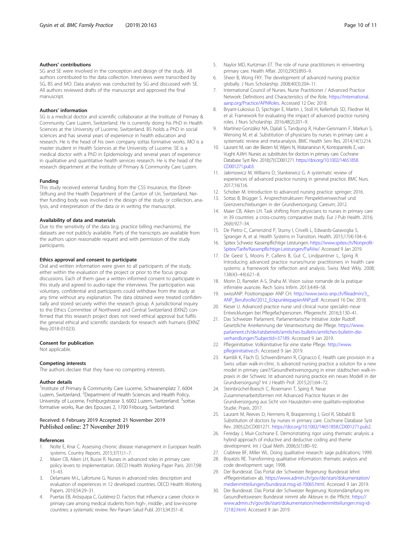### <span id="page-9-0"></span>Authors' contributions

SG and SE were involved in the conception and design of the study. All authors contributed to the data collection. Interviews were transcribed by SG, BS and MO. Data analysis was conducted by SG and discussed with SE. All authors reviewed drafts of the manuscript and approved the final manuscript.

#### Authors' information

SG is a medical doctor and scientific collaborator at the Institute of Primary & Community Care Luzern, Switzerland. He is currently doing his PhD in Health Sciences at the University of Lucerne, Switzerland. BS holds a PhD in social sciences and has several years of experience in health education and research. He is the head of his own company sottas formative works. MO is a master student in Health Sciences at the University of Lucerne. SE is a medical doctor with a PhD in Epidemiology and several years of experience in qualitative and quantitative health services research. He is the head of the research department at the Institute of Primary & Community Care Luzern.

#### Funding

This study received external funding from the CSS Insurance, the Ebnet-Stiftung and the Health Department of the Canton of Uri, Switzerland. Neither funding body was involved in the design of the study or collection, analysis, and interpretation of the data or in writing the manuscript.

#### Availability of data and materials

Due to the sensitivity of the data (e.g. practice billing mechanisms), the datasets are not publicly available. Parts of the transcripts are available from the authors upon reasonable request and with permission of the study participants.

#### Ethics approval and consent to participate

Oral and written information were given to all participants of the study, either within the evaluation of the project or prior to the focus group discussions. Each of them gave a written informed consent to participate in this study and agreed to audio-tape the interviews. The participation was voluntary, confidential and participants could withdraw from the study at any time without any explanation. The data obtained were treated confidentially and stored securely within the research group. A jurisdictional inquiry to the Ethics Committee of Northwest and Central Switzerland (EKNZ) confirmed that this research project does not need ethical approval but fulfils the general ethical and scientific standards for research with humans (EKNZ Req-2018-01023).

#### Consent for publication

Not applicable.

#### Competing interests

The authors declare that they have no competing interests.

#### Author details

<sup>1</sup>Institute of Primary & Community Care Lucerne, Schwanenplatz 7, 6004 Luzern, Switzerland. <sup>2</sup>Department of Health Sciences and Health Policy, University of Lucerne, Frohburgstrasse 3, 6002 Luzern, Switzerland. <sup>3</sup>sottas formative works, Rue des Epouses 2, 1700 Fribourg, Switzerland.

### Received: 6 February 2019 Accepted: 21 November 2019 Published online: 27 November 2019

#### References

- 1. Nolte E, Knai C. Assessing chronic disease management in European health systems. Country Reports. 2015;37(1):1–7.
- 2. Maier CB, Aiken LH, Busse R. Nurses in advanced roles in primary care: policy levers to implementation. OECD Health Working Paper Paris. 2017;98: 13–43.
- 3. Delamaire M-L, Lafortune G. Nurses in advanced roles: description and evaluation of experiences in 12 developed countries. OECD Health Working Papers. 2010;54:29–31.
- Puertas EB, Arósquipa C, Gutiérrez D. Factors that influence a career choice in primary care among medical students from high-, middle-, and low-income countries: a systematic review. Rev Panam Salud Publ. 2013;34:351–8.
- 5. Naylor MD, Kurtzman ET. The role of nurse practitioners in reinventing primary care. Health Affair. 2010;29(5):893–9.
- 6. Sheer B, Wong FKY. The development of advanced nursing practice globally. J Nurs Scholarship. 2008;40(3):204–11.
- 7. International Council of Nurses. Nurse Practitioner / Advanced Practice Network: Definitions and Characteristics of the Role. [https://international.](https://international.aanp.org/Practice/APNRoles) [aanp.org/Practice/APNRoles.](https://international.aanp.org/Practice/APNRoles) Accessed 12 Dec 2018.
- 8. Bryant-Lukosius D, Spichiger E, Martin J, Stoll H, Kellerhals SD, Fliedner M, et al. Framework for evaluating the impact of advanced practice nursing roles. J Nurs Scholarship. 2016;48(2):201–9.
- Martínez-González NA, Djalali S, Tandjung R, Huber-Geismann F, Markun S, Wensing M, et al. Substitution of physicians by nurses in primary care: a systematic review and meta-analysis. BMC Health Serv Res. 2014;14(1):214.
- 10. Laurant M, van der Biezen M, Wijers N, Watananirun K, Kontopantelis E, van Vught AJAH. Nurses as substitutes for doctors in primary care. Cochrane Database Syst Rev. 2018;(7):CD001271. [https://doi.org/10.1002/14651858.](https://doi.org/10.1002/14651858.CD001271.pub3) [CD001271.pub3](https://doi.org/10.1002/14651858.CD001271.pub3).
- 11. Jakimowicz M, Williams D, Stankiewicz G. A systematic review of experiences of advanced practice nursing in general practice. BMC Nurs. 2017;16(1):6.
- 12. Schober M. Introduction to advanced nursing practice: springer; 2016.
- 13. Sottas B, Brügger S. Ansprechstrukturen: Perspektivenwechsel und Grenzverschiebungen in der Grundversorgung: Careum; 2012.
- 14. Maier CB, Aiken LH. Task shifting from physicians to nurses in primary care in 39 countries: a cross-country comparative study. Eur J Pub Health. 2016; 26(6):927–34.
- 15. De Pietro C, Camenzind P, Sturny I, Crivelli L, Edwards-Garavoglia S, Spranger A, et al. Health Systems in Transition. Health. 2015;17(4):104–6.
- 16. Spitex Schweiz: Kassenpflichtige Leistungen. [https://www.spitex.ch/Nonprofit-](https://www.spitex.ch/Nonprofit-Spitex/Tarife/Kassenpflichtige-Leistungen/PaAVw/)[Spitex/Tarife/Kassenpflichtige-Leistungen/PaAVw/](https://www.spitex.ch/Nonprofit-Spitex/Tarife/Kassenpflichtige-Leistungen/PaAVw/). Accessed 9 Jan 2019.
- 17. De Geest S, Moons P, Callens B, Gut C, Lindpaintner L, Spirig R. Introducing advanced practice nurses/nurse practitioners in health care systems: a framework for reflection and analysis. Swiss Med Wkly. 2008; 138(43–44):621–8.
- 18. Morin D, Ramelet A-S, Shaha M. Vision suisse romande de la pratique infirmière avancée. Rech Soins Infirm. 2013;4:49–58.
- 19. swissANP: Positionspaper ANP CH. [http://www.swiss-anp.ch/fileadmin/3\\_](http://www.swiss-anp.ch/fileadmin/3_ANP_Berufsrolle/2012_EckpunktepapierANP.pdf) [ANP\\_Berufsrolle/2012\\_EckpunktepapierANP.pdf.](http://www.swiss-anp.ch/fileadmin/3_ANP_Berufsrolle/2012_EckpunktepapierANP.pdf) Accessed 16 Dec 2018.
- 20. Kieser U. Advanced practice nurse und clinical nurse specialist–neue Entwicklungen bei Pflegefachpersonen. Pflegerecht. 2016;3:130–41.
- 21. Das Schweizer Parlament. Parlamentarische Initiative Joder Rudolf: Gesetzliche Anerkennung der Verantwortung der Pflege. [https://www.](https://www.parlament.ch/de/ratsbetrieb/amtliches-bulletin/amtliches-bulletin-die-verhandlungen?SubjectId=37189) [parlament.ch/de/ratsbetrieb/amtliches-bulletin/amtliches-bulletin-die](https://www.parlament.ch/de/ratsbetrieb/amtliches-bulletin/amtliches-bulletin-die-verhandlungen?SubjectId=37189)[verhandlungen?SubjectId=37189](https://www.parlament.ch/de/ratsbetrieb/amtliches-bulletin/amtliches-bulletin-die-verhandlungen?SubjectId=37189). Accessed 9 Jan 2019.
- 22. Pflegeinitiative: Volksinitiative für eine starke Pflege. [http://www.](http://www.pflegeinitiative.ch) [pflegeinitiative.ch.](http://www.pflegeinitiative.ch) Accessed 9 Jan 2019.
- 23. Kambli K, Flach D, Schwendimann R, Cignacco E. Health care provision in a Swiss urban walk-in-clinic. Is advanced nursing practice a solution for a new model in primary care?/Gesundheitsversorgung in einer städtischen walk-inpraxis in der Schweiz. Ist advanced nursing practice ein neues Modell in der Grundversorgung? Int J Health Prof. 2015;2(1):64–72.
- 24. Steinbrüchel-Boesch C, Rosemann T, Spirig R. Neue Zusammenarbeitsformen mit Advanced Practice Nurses in der Grundversorgung aus Sicht von Hausärzten–eine qualitativ-explorative Studie. Praxis. 2017.
- 25. Laurant M, Reeves D, Hermens R, Braspenning J, Grol R, Sibbald B. Substitution of doctors by nurses in primary care. Cochrane Database Syst Rev. 2005;(2):CD001271. [https://doi.org/10.1002/14651858.CD001271.pub2.](https://doi.org/10.1002/14651858.CD001271.pub2)
- 26. Fereday J, Muir-Cochrane E. Demonstrating rigor using thematic analysis: a hybrid approach of inductive and deductive coding and theme development. Int J Qual Meth. 2006;5(1):80–92.
- 27. Crabtree BF, Miller WL. Doing qualitative research: sage publications; 1999.
- 28. Boyatzis RE. Transforming qualitative information: thematic analysis and code development: sage; 1998.
- 29. Der Bundesrat. Das Portal der Schweizer Regierung: Bundesrat lehnt «Pflegeinitiative» ab. [https://www.admin.ch/gov/de/start/dokumentation/](https://www.admin.ch/gov/de/start/dokumentation/medienmitteilungen/bundesrat.msg-id-70065.html) [medienmitteilungen/bundesrat.msg-id-70065.html](https://www.admin.ch/gov/de/start/dokumentation/medienmitteilungen/bundesrat.msg-id-70065.html). Accessed 9 Jan 2019.
- 30. Der Bundesrat. Das Portal der Schweizer Regierung: Kostendämpfung im Gesundheitswesen: Bundesrat nimmt alle Akteure in die Pflicht. [https://](https://www.admin.ch/gov/de/start/dokumentation/medienmitteilungen.msg-id-72182.html) [www.admin.ch/gov/de/start/dokumentation/medienmitteilungen.msg-id-](https://www.admin.ch/gov/de/start/dokumentation/medienmitteilungen.msg-id-72182.html)[72182.html](https://www.admin.ch/gov/de/start/dokumentation/medienmitteilungen.msg-id-72182.html). Accessed 9 Jan 2019.